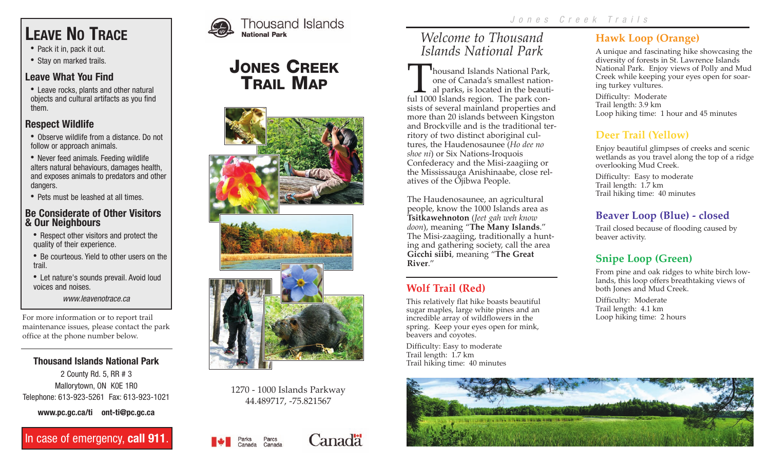# **LEAVE NO TRACE**

- **·** Pack it in, pack it out.
- **·** Stay on marked trails.

#### **Leave What You Find**

**·** Leave rocks, plants and other natural objects and cultural artifacts as you find them.

#### **Respect Wildlife**

- **·** Observe wildlife from a distance. Do not follow or approach animals.
- **·** Never feed animals. Feeding wildlife alters natural behaviours, damages health, and exposes animals to predators and other dangers.
- **·** Pets must be leashed at all times.

#### **Be Considerate of Other Visitors & Our Neighbours**

- **·** Respect other visitors and protect the quality of their experience.
- **·** Be courteous. Yield to other users on the trail.
- **·** Let nature's sounds prevail. Avoid loud voices and noises.

*www.leavenotrace.ca*

For more information or to report trail maintenance issues, please contact the park office at the phone number below.

#### **Thousand Islands National Park**

2 County Rd. 5, RR # 3 Mallorytown, ON K0E 1R0 Telephone: 613-923-5261 Fax: 613-923-1021

**www.pc.gc.ca/ti ont-ti@pc.gc.ca**

In case of emergency, **call 911**.



# JONES CREEK TRAIL MAP





1270 - 1000 Islands Parkway 44.489717, -75.821567

Parcs<br>Canada

Canada



# *Welcome to Thousand Islands National Park*

Thousand Islands National Park, one of Canada's smallest national parks, is located in the beautiful 1000 Islands region. The park consists of several mainland properties and more than 20 islands between Kingston and Brockville and is the traditional territory of two distinct aboriginal cultures, the Haudenosaunee (*Ho dee no shoe ni*) or Six Nations-Iroquois Confederacy and the Misi-zaagiing or the Mississauga Anishinaabe, close relatives of the Ojibwa People.

The Haudenosaunee, an agricultural people, know the 1000 Islands area as **Tsitkawehnoton** (*Jeet gah weh know doon*), meaning "**The Many Islands**." The Misi-zaagiing, traditionally a hunting and gathering society, call the area **Gicchi siibi**, meaning "**The Great River**."

## **Wolf Trail (Red)**

This relatively flat hike boasts beautiful sugar maples, large white pines and an incredible array of wildflowers in the spring. Keep your eyes open for mink, beavers and coyotes.

Difficulty: Easy to moderate Trail length: 1.7 km Trail hiking time: 40 minutes

# **Hawk Loop (Orange)**

A unique and fascinating hike showcasing the diversity of forests in St. Lawrence Islands National Park. Enjoy views of Polly and Mud Creek while keeping your eyes open for soaring turkey vultures.

Difficulty: Moderate Trail length: 3.9 km Loop hiking time: 1 hour and 45 minutes

#### **Deer Trail (Yellow)**

Enjoy beautiful glimpses of creeks and scenic wetlands as you travel along the top of a ridge overlooking Mud Creek.

Difficulty: Easy to moderate Trail length: 1.7 km Trail hiking time: 40 minutes

#### **Beaver Loop (Blue) - closed**

Trail closed because of flooding caused by beaver activity.

# **Snipe Loop (Green)**

From pine and oak ridges to white birch lowlands, this loop offers breathtaking views of both Jones and Mud Creek.

Difficulty: Moderate Trail length: 4.1 km Loop hiking time: 2 hours